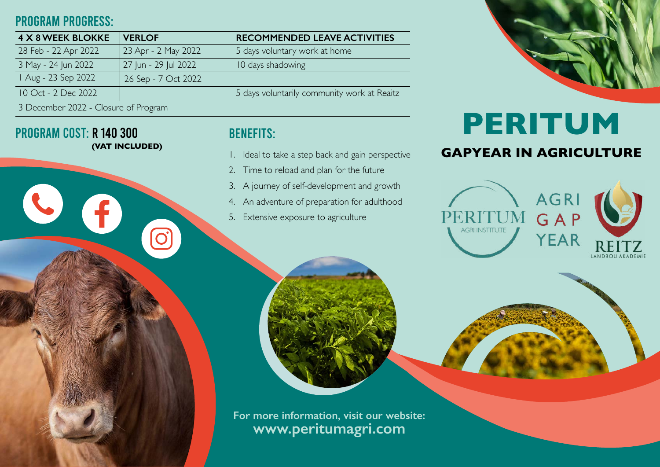## PROGRAM PROGRESS:

PROGRAM COST: R 140 300

**(VAT INCLUDED)**

 $\overline{\mathbf{O}}$ 

 $\mathbf{f}$ 

| <b>4 X 8 WEEK BLOKKE</b>             | <b>VERLOF</b>        | <b>RECOMMENDED LEAVE ACTIVITIES</b>         |
|--------------------------------------|----------------------|---------------------------------------------|
| 28 Feb - 22 Apr 2022                 | 23 Apr - 2 May 2022  | 5 days voluntary work at home               |
| 3 May - 24 Jun 2022                  | 27 Jun - 29 Jul 2022 | 10 days shadowing                           |
| Aug - 23 Sep 2022                    | 26 Sep - 7 Oct 2022  |                                             |
| 10 Oct - 2 Dec 2022                  |                      | 5 days voluntarily community work at Reaitz |
| 3 December 2022 - Closure of Program |                      |                                             |

## BENEFITS:

- 1. Ideal to take a step back and gain perspective
- 2. Time to reload and plan for the future
- 3. A journey of self-development and growth
- 4. An adventure of preparation for adulthood
- 5. Extensive exposure to agriculture



# **PERITUM**

### **GAPYEAR IN AGRICULTURE**



**For more information, visit our website: www.peritumagri.com**